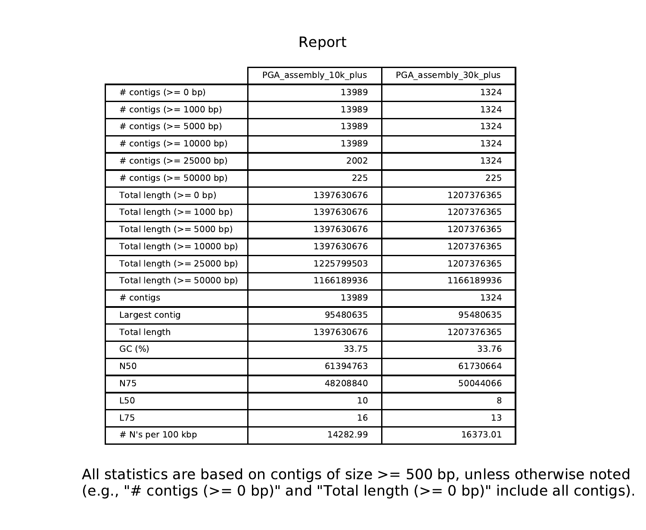## Report

|                              | PGA assembly 10k plus | PGA assembly 30k plus |
|------------------------------|-----------------------|-----------------------|
| # contigs $(>= 0$ bp)        | 13989                 | 1324                  |
| # contigs $(>= 1000$ bp)     | 13989                 | 1324                  |
| # contigs $(>= 5000$ bp)     | 13989                 | 1324                  |
| # contigs $(>= 10000$ bp)    | 13989                 | 1324                  |
| # contigs $(>= 25000$ bp)    | 2002                  | 1324                  |
| # contigs $(>= 50000$ bp)    | 225                   | 225                   |
| Total length $(>= 0$ bp)     | 1397630676            | 1207376365            |
| Total length $(>= 1000$ bp)  | 1397630676            | 1207376365            |
| Total length $(>= 5000$ bp)  | 1397630676            | 1207376365            |
| Total length $(>= 10000$ bp) | 1397630676            | 1207376365            |
| Total length $(>= 25000$ bp) | 1225799503            | 1207376365            |
| Total length $(>= 50000$ bp) | 1166189936            | 1166189936            |
| # contigs                    | 13989                 | 1324                  |
| Largest contig               | 95480635              | 95480635              |
| <b>Total length</b>          | 1397630676            | 1207376365            |
| GC(%)                        | 33.75                 | 33.76                 |
| <b>N50</b>                   | 61394763              | 61730664              |
| N75                          | 48208840              | 50044066              |
| L50                          | 10                    | 8                     |
| <b>L75</b>                   | 16                    | 13                    |
| # N's per 100 kbp            | 14282.99              | 16373.01              |

All statistics are based on contigs of size >= 500 bp, unless otherwise noted (e.g., "# contigs (>= 0 bp)" and "Total length (>= 0 bp)" include all contigs).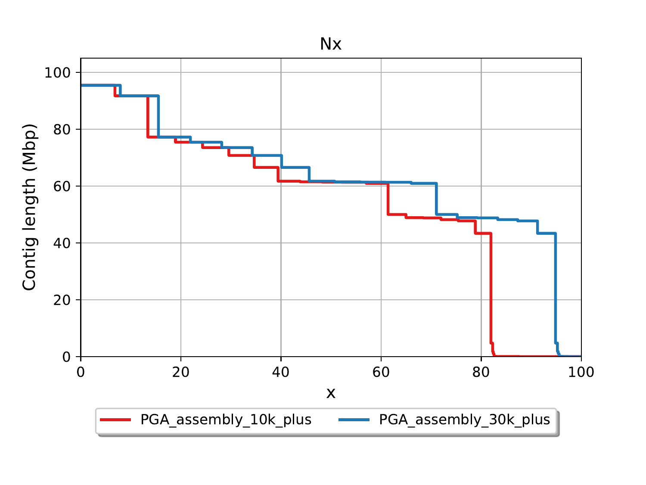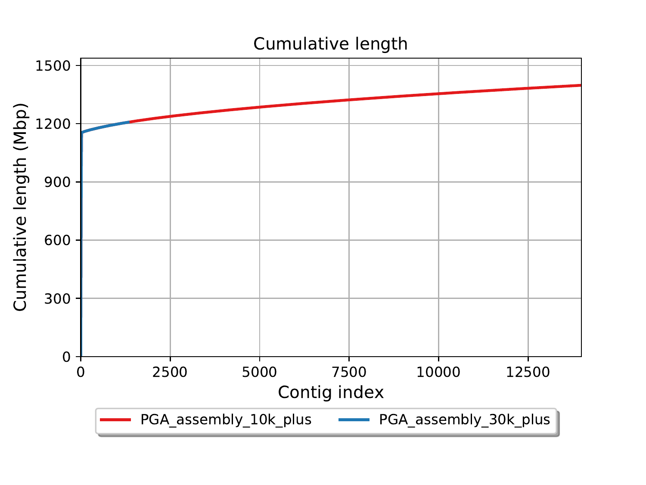## Cumulative length

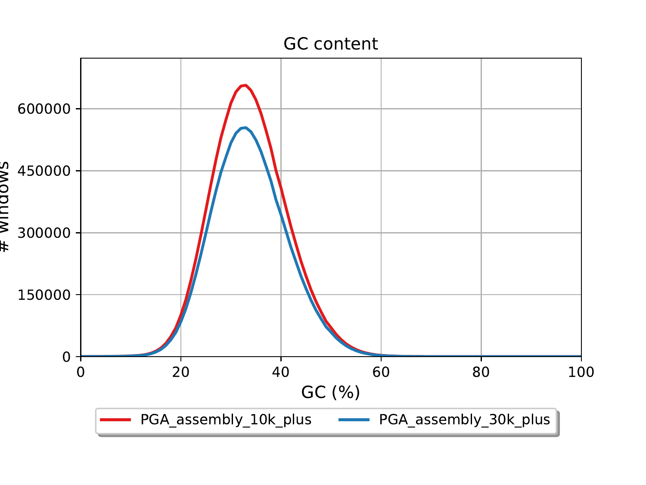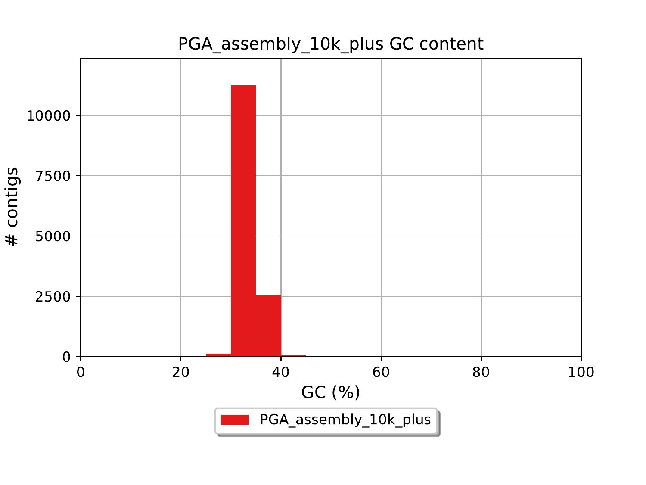